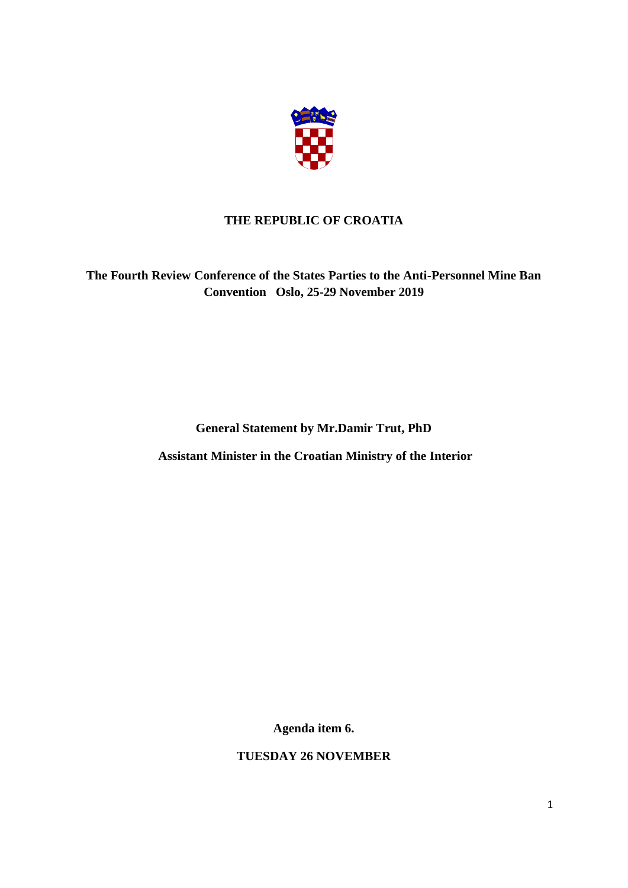

## **THE REPUBLIC OF CROATIA**

**The Fourth Review Conference of the States Parties to the Anti-Personnel Mine Ban Convention Oslo, 25-29 November 2019** 

**General Statement by Mr.Damir Trut, PhD**

**Assistant Minister in the Croatian Ministry of the Interior**

**Agenda item 6.**

**TUESDAY 26 NOVEMBER**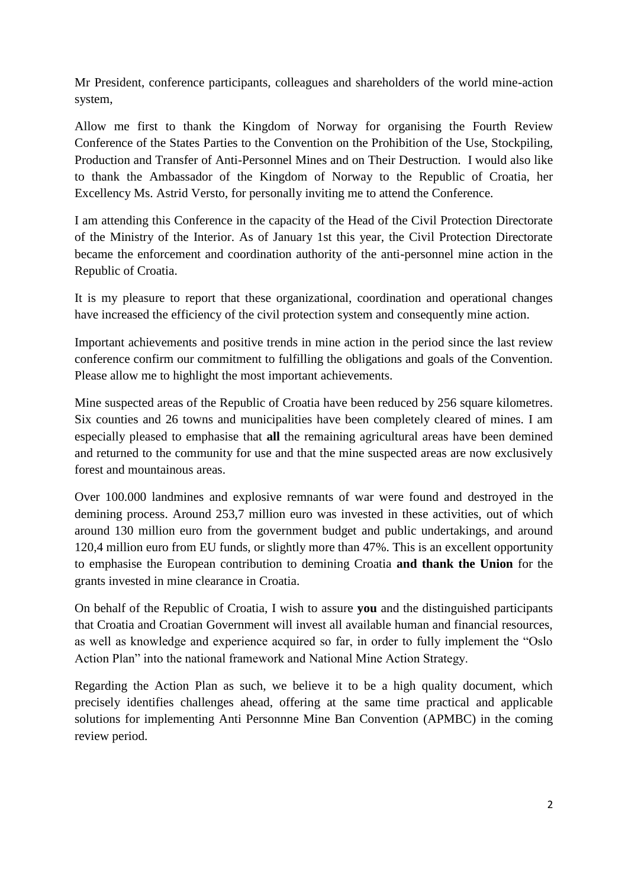Mr President, conference participants, colleagues and shareholders of the world mine-action system,

Allow me first to thank the Kingdom of Norway for organising the Fourth Review Conference of the States Parties to the Convention on the Prohibition of the Use, Stockpiling, Production and Transfer of Anti-Personnel Mines and on Their Destruction. I would also like to thank the Ambassador of the Kingdom of Norway to the Republic of Croatia, her Excellency Ms. Astrid Versto, for personally inviting me to attend the Conference.

I am attending this Conference in the capacity of the Head of the Civil Protection Directorate of the Ministry of the Interior. As of January 1st this year, the Civil Protection Directorate became the enforcement and coordination authority of the anti-personnel mine action in the Republic of Croatia.

It is my pleasure to report that these organizational, coordination and operational changes have increased the efficiency of the civil protection system and consequently mine action.

Important achievements and positive trends in mine action in the period since the last review conference confirm our commitment to fulfilling the obligations and goals of the Convention. Please allow me to highlight the most important achievements.

Mine suspected areas of the Republic of Croatia have been reduced by 256 square kilometres. Six counties and 26 towns and municipalities have been completely cleared of mines. I am especially pleased to emphasise that **all** the remaining agricultural areas have been demined and returned to the community for use and that the mine suspected areas are now exclusively forest and mountainous areas.

Over 100.000 landmines and explosive remnants of war were found and destroyed in the demining process. Around 253,7 million euro was invested in these activities, out of which around 130 million euro from the government budget and public undertakings, and around 120,4 million euro from EU funds, or slightly more than 47%. This is an excellent opportunity to emphasise the European contribution to demining Croatia **and thank the Union** for the grants invested in mine clearance in Croatia.

On behalf of the Republic of Croatia, I wish to assure **you** and the distinguished participants that Croatia and Croatian Government will invest all available human and financial resources, as well as knowledge and experience acquired so far, in order to fully implement the "Oslo Action Plan" into the national framework and National Mine Action Strategy.

Regarding the Action Plan as such, we believe it to be a high quality document, which precisely identifies challenges ahead, offering at the same time practical and applicable solutions for implementing Anti Personnne Mine Ban Convention (APMBC) in the coming review period.